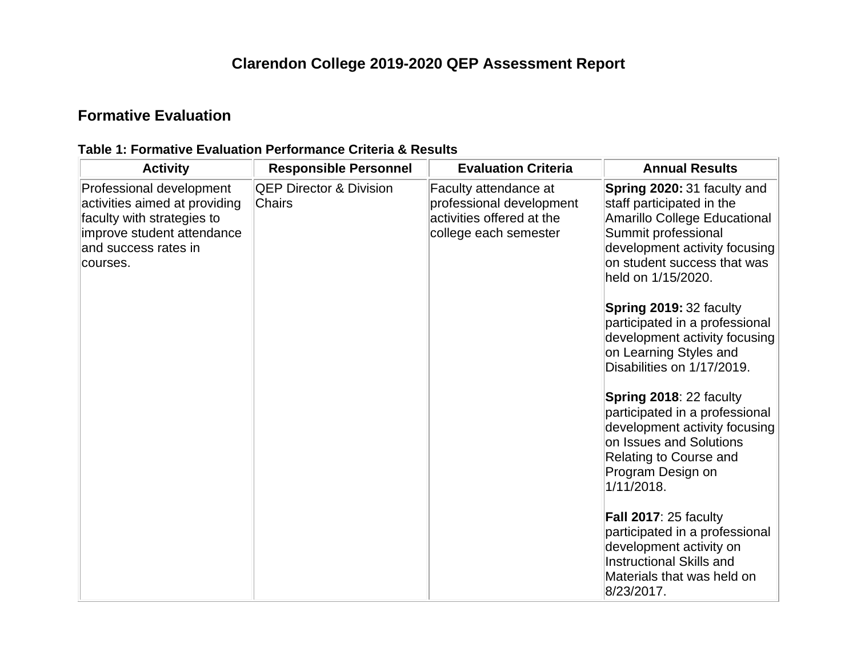# **Clarendon College 2019-2020 QEP Assessment Report**

### **Formative Evaluation**

| <b>Activity</b>                                                                                                                                           | <b>Responsible Personnel</b>                 | <b>Evaluation Criteria</b>                                                                              | <b>Annual Results</b>                                                                                                                                                                                        |
|-----------------------------------------------------------------------------------------------------------------------------------------------------------|----------------------------------------------|---------------------------------------------------------------------------------------------------------|--------------------------------------------------------------------------------------------------------------------------------------------------------------------------------------------------------------|
| Professional development<br>activities aimed at providing<br>faculty with strategies to<br>improve student attendance<br>and success rates in<br>courses. | <b>QEP Director &amp; Division</b><br>Chairs | Faculty attendance at<br>professional development<br>activities offered at the<br>college each semester | Spring 2020: 31 faculty and<br>staff participated in the<br><b>Amarillo College Educational</b><br>Summit professional<br>development activity focusing<br>on student success that was<br>held on 1/15/2020. |
|                                                                                                                                                           |                                              |                                                                                                         | <b>Spring 2019: 32 faculty</b><br>participated in a professional<br>development activity focusing<br>on Learning Styles and<br>Disabilities on 1/17/2019.                                                    |
|                                                                                                                                                           |                                              |                                                                                                         | Spring 2018: 22 faculty<br>participated in a professional<br>development activity focusing<br>on Issues and Solutions<br>Relating to Course and<br>Program Design on<br>1/11/2018.                           |
|                                                                                                                                                           |                                              |                                                                                                         | Fall 2017: 25 faculty<br>participated in a professional<br>development activity on<br><b>Instructional Skills and</b><br>Materials that was held on<br>8/23/2017.                                            |

### **Table 1: Formative Evaluation Performance Criteria & Results**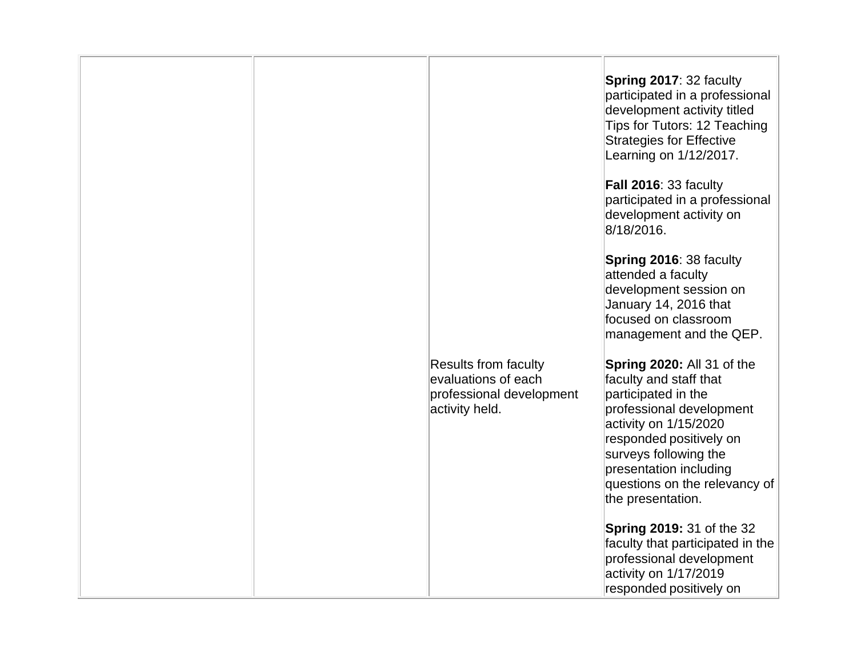|  |                                                                                                  | Spring 2017: 32 faculty<br>participated in a professional<br>development activity titled<br>Tips for Tutors: 12 Teaching<br><b>Strategies for Effective</b><br>Learning on 1/12/2017.                                                                                |
|--|--------------------------------------------------------------------------------------------------|----------------------------------------------------------------------------------------------------------------------------------------------------------------------------------------------------------------------------------------------------------------------|
|  |                                                                                                  | Fall 2016: 33 faculty<br>participated in a professional<br>development activity on<br>8/18/2016.                                                                                                                                                                     |
|  |                                                                                                  | Spring 2016: 38 faculty<br>attended a faculty<br>development session on<br>January 14, 2016 that<br>focused on classroom<br>management and the QEP.                                                                                                                  |
|  | <b>Results from faculty</b><br>evaluations of each<br>professional development<br>activity held. | Spring 2020: All 31 of the<br>faculty and staff that<br>participated in the<br>professional development<br>activity on 1/15/2020<br>responded positively on<br>surveys following the<br>presentation including<br>questions on the relevancy of<br>the presentation. |
|  |                                                                                                  | <b>Spring 2019: 31 of the 32</b><br>faculty that participated in the<br>professional development<br>activity on 1/17/2019<br>responded positively on                                                                                                                 |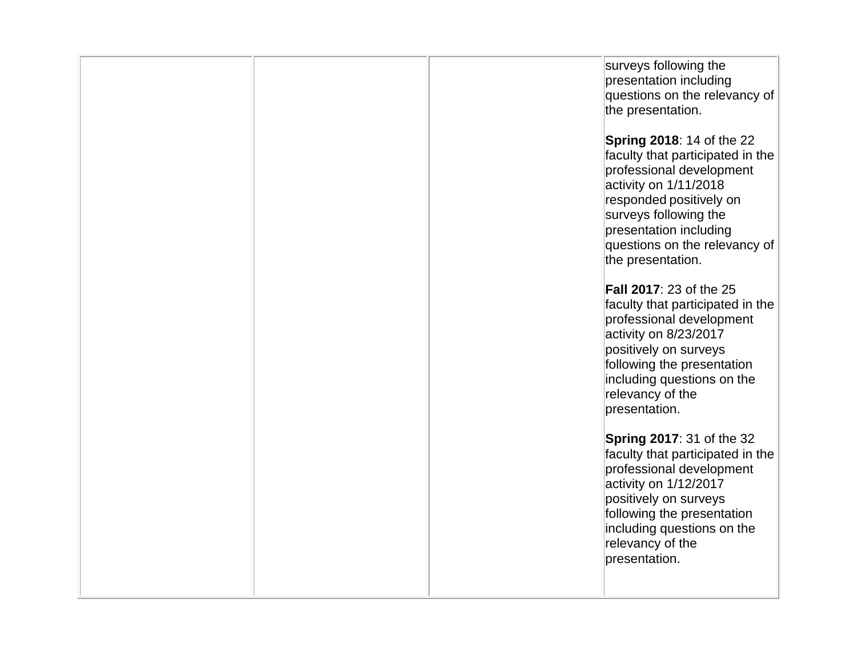| surveys following the<br>presentation including<br>the presentation.<br><b>Spring 2018: 14 of the 22</b><br>professional development<br>activity on 1/11/2018<br>responded positively on<br>surveys following the<br>presentation including<br>the presentation.<br><b>Fall 2017: 23 of the 25</b><br>professional development<br>activity on 8/23/2017<br>positively on surveys<br>following the presentation<br>including questions on the<br>relevancy of the<br>presentation.<br><b>Spring 2017: 31 of the 32</b><br>professional development<br>activity on 1/12/2017<br>positively on surveys<br>following the presentation<br>including questions on the<br>relevancy of the |  |                                                                   |
|-------------------------------------------------------------------------------------------------------------------------------------------------------------------------------------------------------------------------------------------------------------------------------------------------------------------------------------------------------------------------------------------------------------------------------------------------------------------------------------------------------------------------------------------------------------------------------------------------------------------------------------------------------------------------------------|--|-------------------------------------------------------------------|
|                                                                                                                                                                                                                                                                                                                                                                                                                                                                                                                                                                                                                                                                                     |  | questions on the relevancy of                                     |
|                                                                                                                                                                                                                                                                                                                                                                                                                                                                                                                                                                                                                                                                                     |  | faculty that participated in the<br>questions on the relevancy of |
|                                                                                                                                                                                                                                                                                                                                                                                                                                                                                                                                                                                                                                                                                     |  | faculty that participated in the                                  |
|                                                                                                                                                                                                                                                                                                                                                                                                                                                                                                                                                                                                                                                                                     |  | faculty that participated in the<br>presentation.                 |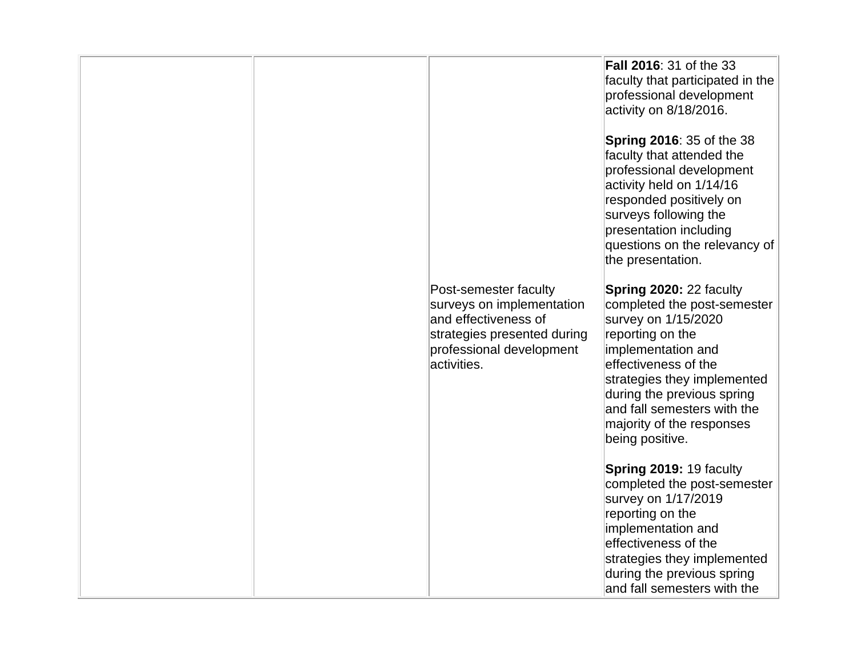|                                                                                                                                                      | <b>Fall 2016: 31 of the 33</b><br>faculty that participated in the<br>professional development                                                                                                                                                                                                     |
|------------------------------------------------------------------------------------------------------------------------------------------------------|----------------------------------------------------------------------------------------------------------------------------------------------------------------------------------------------------------------------------------------------------------------------------------------------------|
|                                                                                                                                                      | activity on 8/18/2016.                                                                                                                                                                                                                                                                             |
|                                                                                                                                                      | <b>Spring 2016: 35 of the 38</b><br>faculty that attended the<br>professional development<br>activity held on 1/14/16<br>responded positively on<br>surveys following the<br>presentation including<br>questions on the relevancy of<br>the presentation.                                          |
| Post-semester faculty<br>surveys on implementation<br>and effectiveness of<br>strategies presented during<br>professional development<br>activities. | <b>Spring 2020: 22 faculty</b><br>completed the post-semester<br>survey on 1/15/2020<br>reporting on the<br>implementation and<br>effectiveness of the<br>strategies they implemented<br>during the previous spring<br>and fall semesters with the<br>majority of the responses<br>being positive. |
|                                                                                                                                                      | Spring 2019: 19 faculty<br>completed the post-semester<br>survey on 1/17/2019<br>reporting on the<br>implementation and<br>effectiveness of the<br>strategies they implemented<br>during the previous spring<br>and fall semesters with the                                                        |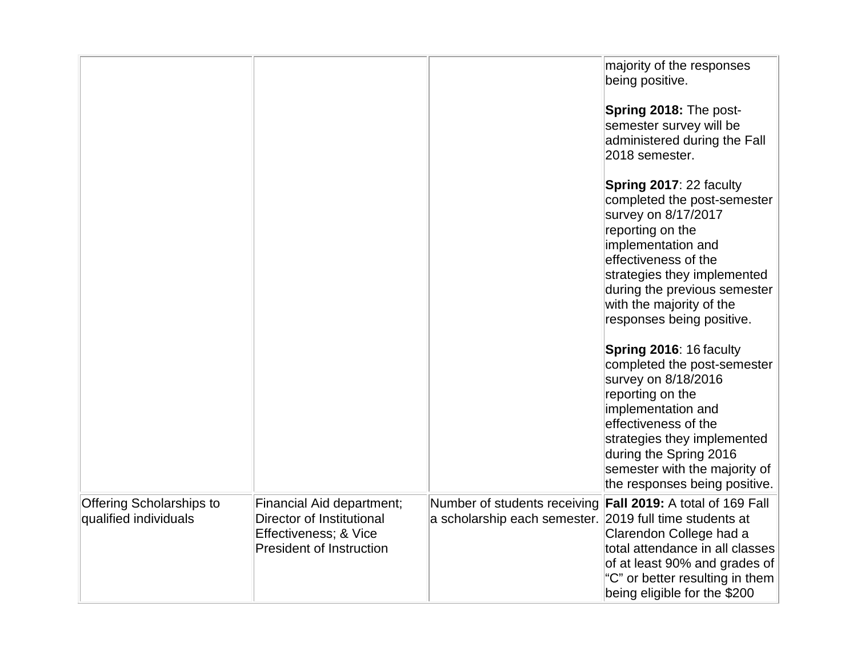|                                                          |                                                                                                                    |                                                                                         | majority of the responses<br>being positive.                                                                                                                                                                                                                               |
|----------------------------------------------------------|--------------------------------------------------------------------------------------------------------------------|-----------------------------------------------------------------------------------------|----------------------------------------------------------------------------------------------------------------------------------------------------------------------------------------------------------------------------------------------------------------------------|
|                                                          |                                                                                                                    |                                                                                         | Spring 2018: The post-<br>semester survey will be<br>administered during the Fall<br>2018 semester.                                                                                                                                                                        |
|                                                          |                                                                                                                    |                                                                                         | Spring 2017: 22 faculty<br>completed the post-semester<br>survey on 8/17/2017<br>reporting on the<br>implementation and<br>effectiveness of the<br>strategies they implemented<br>during the previous semester<br>with the majority of the<br>responses being positive.    |
|                                                          |                                                                                                                    |                                                                                         | Spring 2016: 16 faculty<br>completed the post-semester<br>survey on 8/18/2016<br>reporting on the<br>implementation and<br>effectiveness of the<br>strategies they implemented<br>during the Spring 2016<br>semester with the majority of<br>the responses being positive. |
| <b>Offering Scholarships to</b><br>qualified individuals | Financial Aid department;<br>Director of Institutional<br>Effectiveness; & Vice<br><b>President of Instruction</b> | Number of students receiving<br>a scholarship each semester. 2019 full time students at | Fall 2019: A total of 169 Fall<br>Clarendon College had a<br>total attendance in all classes<br>of at least 90% and grades of<br>"C" or better resulting in them<br>being eligible for the \$200                                                                           |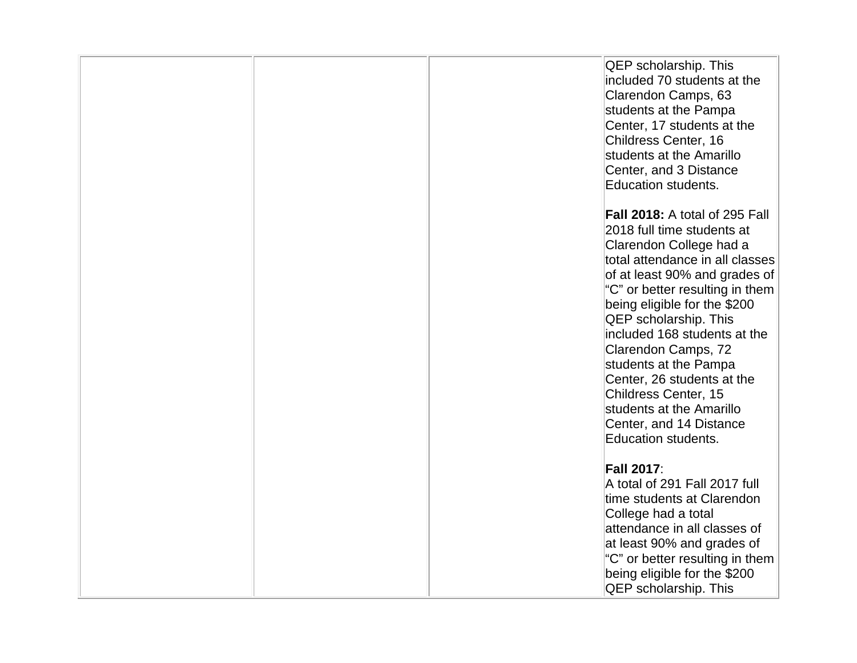|  | <b>QEP</b> scholarship. This          |
|--|---------------------------------------|
|  | included 70 students at the           |
|  | Clarendon Camps, 63                   |
|  | students at the Pampa                 |
|  | Center, 17 students at the            |
|  |                                       |
|  | Childress Center, 16                  |
|  | students at the Amarillo              |
|  | Center, and 3 Distance                |
|  | Education students.                   |
|  |                                       |
|  | <b>Fall 2018:</b> A total of 295 Fall |
|  | 2018 full time students at            |
|  | Clarendon College had a               |
|  | total attendance in all classes       |
|  | of at least 90% and grades of         |
|  | "C" or better resulting in them       |
|  |                                       |
|  | being eligible for the \$200          |
|  | <b>QEP</b> scholarship. This          |
|  | included 168 students at the          |
|  | Clarendon Camps, 72                   |
|  | students at the Pampa                 |
|  | Center, 26 students at the            |
|  | Childress Center, 15                  |
|  | students at the Amarillo              |
|  | Center, and 14 Distance               |
|  | <b>Education students.</b>            |
|  |                                       |
|  | <b>Fall 2017:</b>                     |
|  | A total of 291 Fall 2017 full         |
|  | time students at Clarendon            |
|  | College had a total                   |
|  | attendance in all classes of          |
|  |                                       |
|  | at least 90% and grades of            |
|  | "C" or better resulting in them       |
|  | being eligible for the \$200          |
|  | <b>QEP</b> scholarship. This          |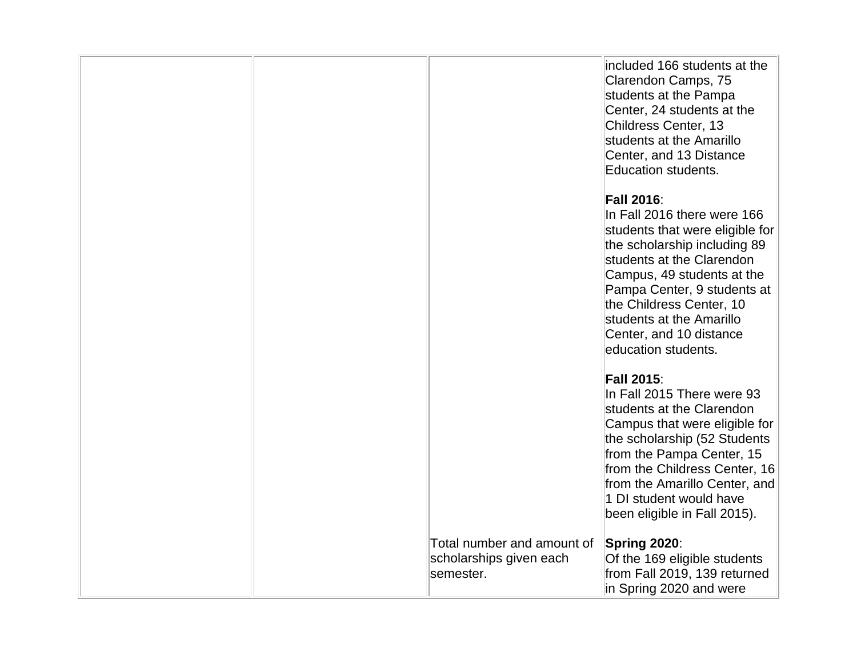|  |                                                                    | included 166 students at the<br>Clarendon Camps, 75<br>students at the Pampa<br>Center, 24 students at the<br>Childress Center, 13<br>students at the Amarillo<br>Center, and 13 Distance<br>Education students.                                                                                                        |
|--|--------------------------------------------------------------------|-------------------------------------------------------------------------------------------------------------------------------------------------------------------------------------------------------------------------------------------------------------------------------------------------------------------------|
|  |                                                                    | <b>Fall 2016:</b><br>In Fall 2016 there were 166<br>students that were eligible for<br>the scholarship including 89<br>students at the Clarendon<br>Campus, 49 students at the<br>Pampa Center, 9 students at<br>the Childress Center, 10<br>students at the Amarillo<br>Center, and 10 distance<br>education students. |
|  |                                                                    | <b>Fall 2015:</b><br>In Fall 2015 There were 93<br>students at the Clarendon<br>Campus that were eligible for<br>the scholarship (52 Students<br>from the Pampa Center, 15<br>from the Childress Center, 16<br>from the Amarillo Center, and<br>1 DI student would have<br>been eligible in Fall 2015).                 |
|  | Total number and amount of<br>scholarships given each<br>semester. | Spring 2020:<br>Of the 169 eligible students<br>from Fall 2019, 139 returned<br>in Spring 2020 and were                                                                                                                                                                                                                 |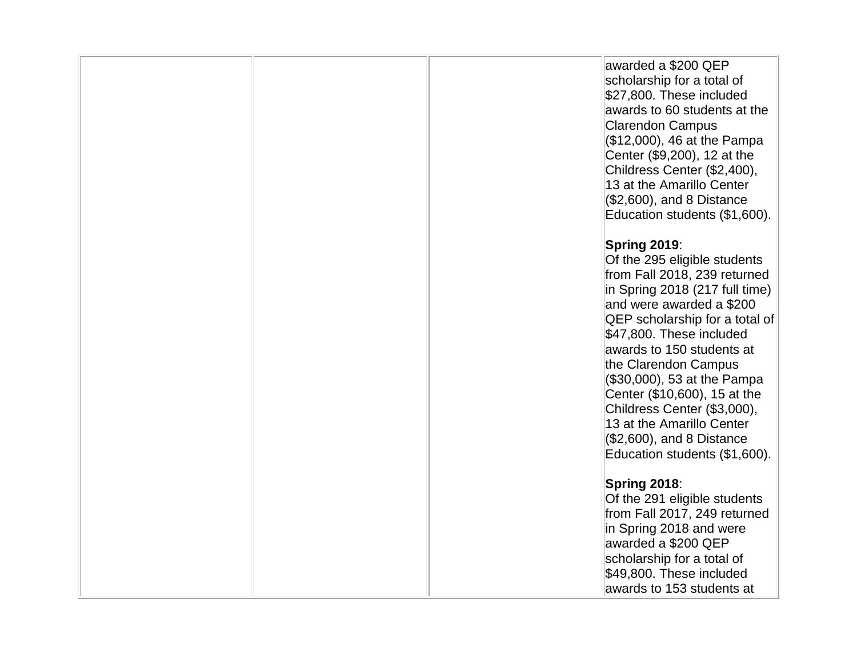|  | awarded a \$200 QEP<br>scholarship for a total of<br>\$27,800. These included<br>awards to 60 students at the<br><b>Clarendon Campus</b><br>$( $12,000, 46 \text{ at the Pampa})$<br>Center (\$9,200), 12 at the<br>Childress Center (\$2,400),<br>13 at the Amarillo Center<br>$(\$2,600)$ , and 8 Distance<br>Education students (\$1,600).                                                                                                                       |
|--|---------------------------------------------------------------------------------------------------------------------------------------------------------------------------------------------------------------------------------------------------------------------------------------------------------------------------------------------------------------------------------------------------------------------------------------------------------------------|
|  | Spring 2019:<br>Of the 295 eligible students<br>from Fall 2018, 239 returned<br>in Spring 2018 (217 full time)<br>and were awarded a \$200<br><b>QEP</b> scholarship for a total of<br>\$47,800. These included<br>awards to 150 students at<br>the Clarendon Campus<br>$($ \$30,000), 53 at the Pampa<br>Center (\$10,600), 15 at the<br>Childress Center (\$3,000),<br>13 at the Amarillo Center<br>$(\$2,600)$ , and 8 Distance<br>Education students (\$1,600). |
|  | Spring 2018:<br>Of the 291 eligible students<br>from Fall 2017, 249 returned<br>in Spring 2018 and were<br>awarded a \$200 QEP<br>scholarship for a total of<br>\$49,800. These included<br>awards to 153 students at                                                                                                                                                                                                                                               |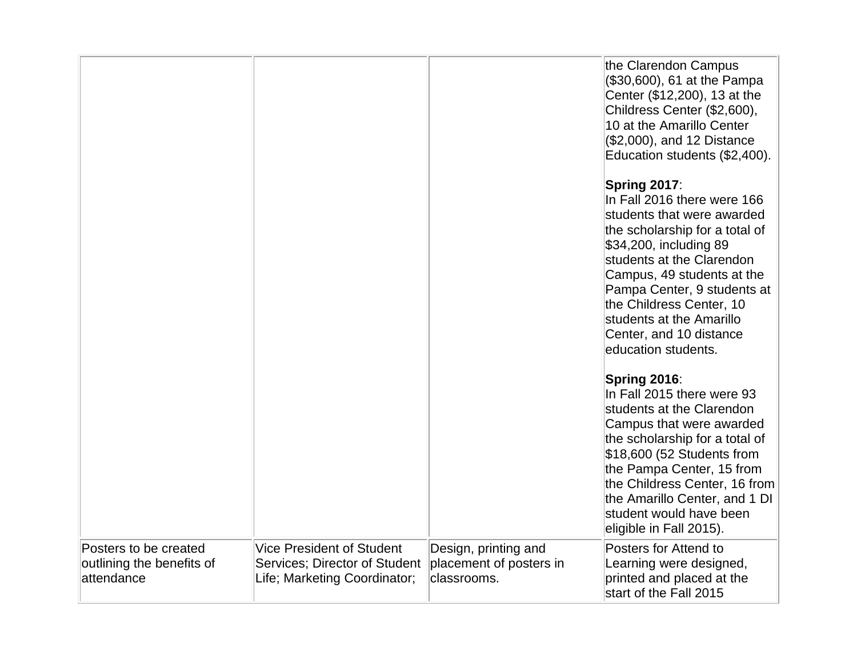|                                                                  |                                                                                                   |                                                                | the Clarendon Campus<br>(\$30,600), 61 at the Pampa<br>Center (\$12,200), 13 at the<br>Childress Center (\$2,600),<br>10 at the Amarillo Center<br>(\$2,000), and 12 Distance<br>Education students (\$2,400).                                                                                                                            |
|------------------------------------------------------------------|---------------------------------------------------------------------------------------------------|----------------------------------------------------------------|-------------------------------------------------------------------------------------------------------------------------------------------------------------------------------------------------------------------------------------------------------------------------------------------------------------------------------------------|
|                                                                  |                                                                                                   |                                                                | Spring 2017:<br>In Fall 2016 there were 166<br>students that were awarded<br>the scholarship for a total of<br>\$34,200, including 89<br>students at the Clarendon<br>Campus, 49 students at the<br>Pampa Center, 9 students at<br>the Childress Center, 10<br>students at the Amarillo<br>Center, and 10 distance<br>education students. |
|                                                                  |                                                                                                   |                                                                | Spring 2016:<br>In Fall 2015 there were 93<br>students at the Clarendon<br>Campus that were awarded<br>the scholarship for a total of<br>$$18,600$ (52 Students from<br>the Pampa Center, 15 from<br>the Childress Center, 16 from<br>the Amarillo Center, and 1 DI<br>student would have been<br>eligible in Fall 2015).                 |
| Posters to be created<br>outlining the benefits of<br>attendance | <b>Vice President of Student</b><br>Services; Director of Student<br>Life; Marketing Coordinator; | Design, printing and<br>placement of posters in<br>classrooms. | Posters for Attend to<br>Learning were designed,<br>printed and placed at the<br>start of the Fall 2015                                                                                                                                                                                                                                   |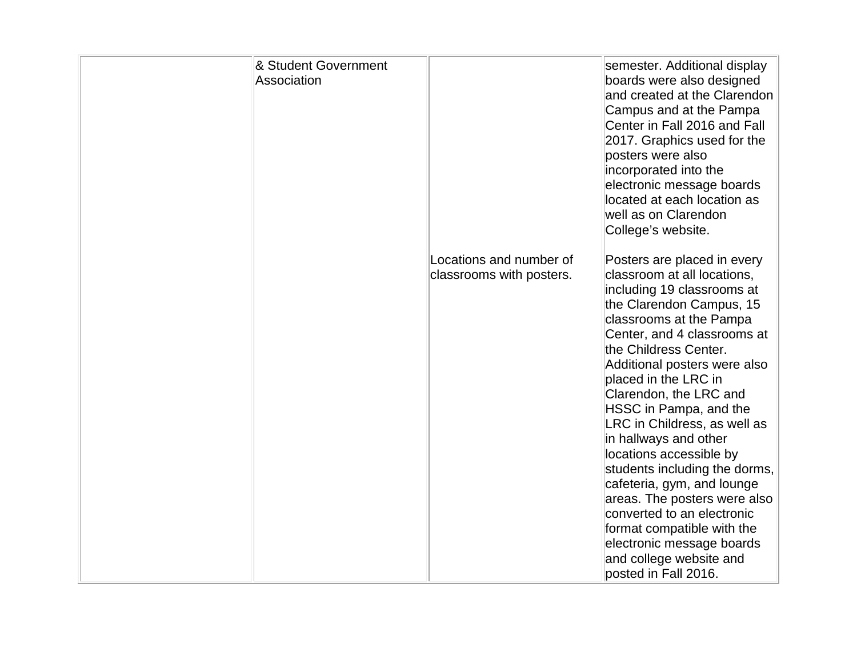| & Student Government<br>Association |                                                     | semester. Additional display<br>boards were also designed<br>and created at the Clarendon<br>Campus and at the Pampa<br>Center in Fall 2016 and Fall<br>2017. Graphics used for the<br>posters were also<br>incorporated into the<br>electronic message boards<br>located at each location as<br>well as on Clarendon<br>College's website.                                                                                                                                                                                                                                                                                                        |
|-------------------------------------|-----------------------------------------------------|----------------------------------------------------------------------------------------------------------------------------------------------------------------------------------------------------------------------------------------------------------------------------------------------------------------------------------------------------------------------------------------------------------------------------------------------------------------------------------------------------------------------------------------------------------------------------------------------------------------------------------------------------|
|                                     | Locations and number of<br>classrooms with posters. | Posters are placed in every<br>classroom at all locations,<br>including 19 classrooms at<br>the Clarendon Campus, 15<br>classrooms at the Pampa<br>Center, and 4 classrooms at<br>the Childress Center.<br>Additional posters were also<br>placed in the LRC in<br>Clarendon, the LRC and<br>HSSC in Pampa, and the<br>LRC in Childress, as well as<br>in hallways and other<br>locations accessible by<br>students including the dorms,<br>cafeteria, gym, and lounge<br>areas. The posters were also<br>converted to an electronic<br>format compatible with the<br>electronic message boards<br>and college website and<br>posted in Fall 2016. |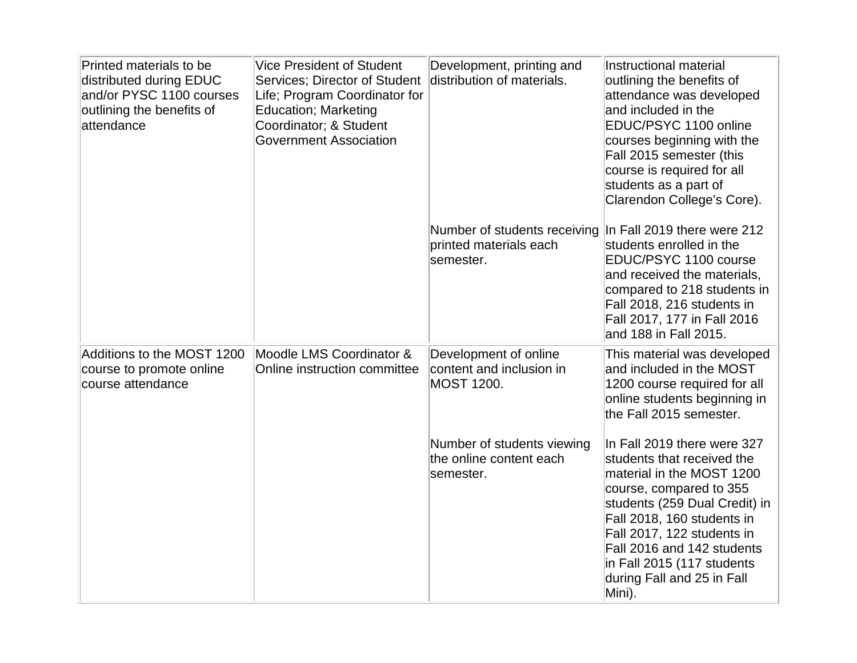| Printed materials to be<br>distributed during EDUC<br>and/or PYSC 1100 courses<br>outlining the benefits of<br>attendance | <b>Vice President of Student</b><br><b>Services: Director of Student</b><br>Life; Program Coordinator for<br><b>Education; Marketing</b><br>Coordinator; & Student<br><b>Government Association</b> | Development, printing and<br>distribution of materials.                | Instructional material<br>outlining the benefits of<br>attendance was developed<br>and included in the<br>EDUC/PSYC 1100 online<br>courses beginning with the<br>Fall 2015 semester (this<br>course is required for all<br>students as a part of<br>Clarendon College's Core).                                     |
|---------------------------------------------------------------------------------------------------------------------------|-----------------------------------------------------------------------------------------------------------------------------------------------------------------------------------------------------|------------------------------------------------------------------------|--------------------------------------------------------------------------------------------------------------------------------------------------------------------------------------------------------------------------------------------------------------------------------------------------------------------|
|                                                                                                                           |                                                                                                                                                                                                     | Number of students receiving<br>printed materials each<br>semester.    | In Fall 2019 there were 212<br>students enrolled in the<br>EDUC/PSYC 1100 course<br>and received the materials,<br>compared to 218 students in<br>Fall 2018, 216 students in<br>Fall 2017, 177 in Fall 2016<br>and 188 in Fall 2015.                                                                               |
| Additions to the MOST 1200<br>course to promote online<br>course attendance                                               | Moodle LMS Coordinator &<br>Online instruction committee                                                                                                                                            | Development of online<br>content and inclusion in<br><b>MOST 1200.</b> | This material was developed<br>and included in the MOST<br>1200 course required for all<br>online students beginning in<br>the Fall 2015 semester.                                                                                                                                                                 |
|                                                                                                                           |                                                                                                                                                                                                     | Number of students viewing<br>the online content each<br>semester.     | In Fall 2019 there were 327<br>students that received the<br>material in the MOST 1200<br>course, compared to 355<br>students (259 Dual Credit) in<br>Fall 2018, 160 students in<br>Fall 2017, 122 students in<br>Fall 2016 and 142 students<br>in Fall 2015 (117 students<br>during Fall and 25 in Fall<br>Mini). |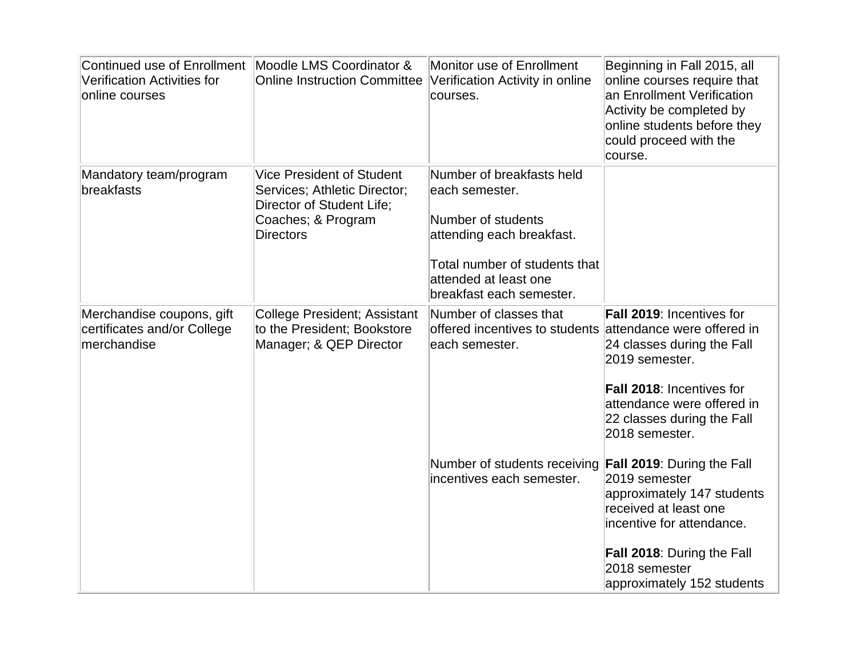| Continued use of Enrollment<br>Verification Activities for<br>online courses | Moodle LMS Coordinator &<br><b>Online Instruction Committee</b>                                                                         | Monitor use of Enrollment<br>Verification Activity in online<br>courses.                                                                                                             | Beginning in Fall 2015, all<br>online courses require that<br>an Enrollment Verification<br>Activity be completed by<br>online students before they<br>could proceed with the<br>course.                                                                                                                                                                            |
|------------------------------------------------------------------------------|-----------------------------------------------------------------------------------------------------------------------------------------|--------------------------------------------------------------------------------------------------------------------------------------------------------------------------------------|---------------------------------------------------------------------------------------------------------------------------------------------------------------------------------------------------------------------------------------------------------------------------------------------------------------------------------------------------------------------|
| Mandatory team/program<br>breakfasts                                         | <b>Vice President of Student</b><br>Services; Athletic Director;<br>Director of Student Life;<br>Coaches; & Program<br><b>Directors</b> | Number of breakfasts held<br>each semester.<br>Number of students<br>attending each breakfast.<br>Total number of students that<br>attended at least one<br>breakfast each semester. |                                                                                                                                                                                                                                                                                                                                                                     |
| Merchandise coupons, gift<br>certificates and/or College<br>merchandise      | College President; Assistant<br>to the President; Bookstore<br>Manager; & QEP Director                                                  | Number of classes that<br>offered incentives to students attendance were offered in<br>each semester.<br>Number of students receiving<br>incentives each semester.                   | <b>Fall 2019: Incentives for</b><br>24 classes during the Fall<br>2019 semester.<br>Fall 2018: Incentives for<br>attendance were offered in<br>22 classes during the Fall<br>2018 semester.<br><b>Fall 2019: During the Fall</b><br>2019 semester<br>approximately 147 students<br>received at least one<br>incentive for attendance.<br>Fall 2018: During the Fall |
|                                                                              |                                                                                                                                         |                                                                                                                                                                                      | 2018 semester<br>approximately 152 students                                                                                                                                                                                                                                                                                                                         |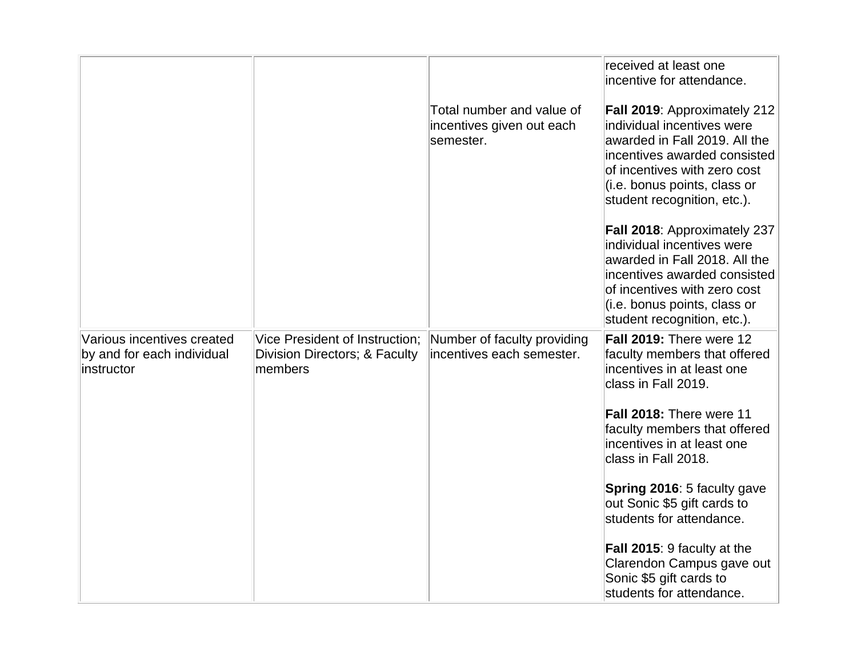|                                                                        |                                                                            |                                                                     | received at least one<br>incentive for attendance.                                                                                                                                                                         |
|------------------------------------------------------------------------|----------------------------------------------------------------------------|---------------------------------------------------------------------|----------------------------------------------------------------------------------------------------------------------------------------------------------------------------------------------------------------------------|
|                                                                        |                                                                            | Total number and value of<br>incentives given out each<br>semester. | Fall 2019: Approximately 212<br>individual incentives were<br>awarded in Fall 2019. All the<br>incentives awarded consisted<br>of incentives with zero cost<br>(i.e. bonus points, class or<br>student recognition, etc.). |
|                                                                        |                                                                            |                                                                     | Fall 2018: Approximately 237<br>individual incentives were<br>awarded in Fall 2018. All the<br>incentives awarded consisted<br>of incentives with zero cost<br>(i.e. bonus points, class or<br>student recognition, etc.). |
| Various incentives created<br>by and for each individual<br>instructor | Vice President of Instruction;<br>Division Directors; & Faculty<br>members | Number of faculty providing<br>incentives each semester.            | Fall 2019: There were 12<br>faculty members that offered<br>incentives in at least one<br>class in Fall 2019.                                                                                                              |
|                                                                        |                                                                            |                                                                     | Fall 2018: There were 11<br>faculty members that offered<br>incentives in at least one<br>class in Fall 2018.                                                                                                              |
|                                                                        |                                                                            |                                                                     | Spring 2016: 5 faculty gave<br>out Sonic \$5 gift cards to<br>students for attendance.                                                                                                                                     |
|                                                                        |                                                                            |                                                                     | <b>Fall 2015: 9 faculty at the</b><br>Clarendon Campus gave out<br>Sonic \$5 gift cards to<br>students for attendance.                                                                                                     |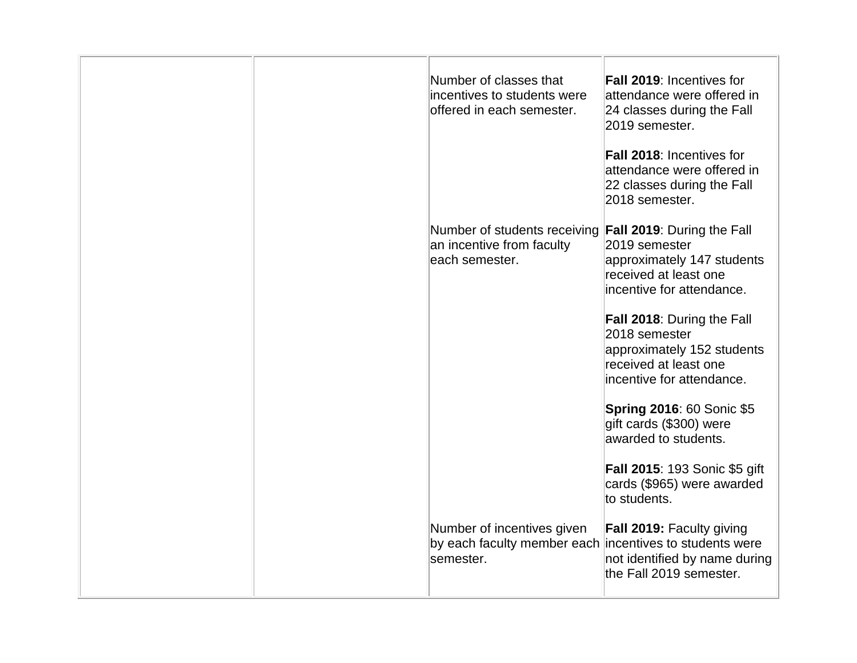| Number of classes that<br>offered in each semester. | <b>Fall 2019: Incentives for</b><br>attendance were offered in<br>24 classes during the Fall<br>2019 semester.                                                                              |
|-----------------------------------------------------|---------------------------------------------------------------------------------------------------------------------------------------------------------------------------------------------|
|                                                     | Fall 2018: Incentives for<br>attendance were offered in<br>22 classes during the Fall<br>2018 semester.                                                                                     |
| each semester.                                      | 2019 semester<br>approximately 147 students<br>received at least one<br>incentive for attendance.                                                                                           |
|                                                     | <b>Fall 2018: During the Fall</b><br>2018 semester<br>approximately 152 students<br>received at least one<br>incentive for attendance.                                                      |
|                                                     | <b>Spring 2016: 60 Sonic \$5</b><br>gift cards (\$300) were<br>awarded to students.                                                                                                         |
|                                                     | <b>Fall 2015: 193 Sonic \$5 gift</b><br>cards (\$965) were awarded<br>to students.                                                                                                          |
| Number of incentives given                          | Fall 2019: Faculty giving<br>not identified by name during<br>the Fall 2019 semester.                                                                                                       |
|                                                     | incentives to students were<br>Number of students receiving Fall 2019: During the Fall<br>an incentive from faculty<br>by each faculty member each incentives to students were<br>semester. |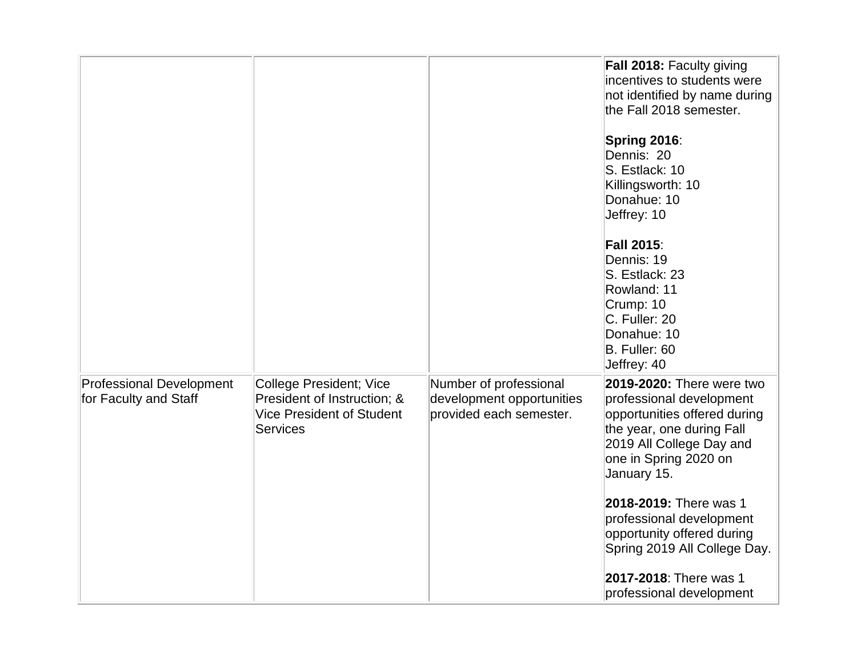|                                                          |                                                                                                                      |                                                                                | Fall 2018: Faculty giving<br>incentives to students were<br>not identified by name during<br>the Fall 2018 semester.                                                                   |
|----------------------------------------------------------|----------------------------------------------------------------------------------------------------------------------|--------------------------------------------------------------------------------|----------------------------------------------------------------------------------------------------------------------------------------------------------------------------------------|
|                                                          |                                                                                                                      |                                                                                | Spring 2016:<br>Dennis: 20<br>S. Estlack: 10<br>Killingsworth: 10<br>Donahue: 10<br>Jeffrey: 10                                                                                        |
|                                                          |                                                                                                                      |                                                                                | <b>Fall 2015:</b><br>Dennis: 19<br>S. Estlack: 23<br>Rowland: 11<br>Crump: 10<br>C. Fuller: 20<br>Donahue: 10<br>B. Fuller: 60<br>Jeffrey: 40                                          |
| <b>Professional Development</b><br>for Faculty and Staff | <b>College President; Vice</b><br>President of Instruction; &<br><b>Vice President of Student</b><br><b>Services</b> | Number of professional<br>development opportunities<br>provided each semester. | 2019-2020: There were two<br>professional development<br>opportunities offered during<br>the year, one during Fall<br>2019 All College Day and<br>one in Spring 2020 on<br>January 15. |
|                                                          |                                                                                                                      |                                                                                | 2018-2019: There was 1<br>professional development<br>opportunity offered during<br>Spring 2019 All College Day.<br>2017-2018: There was 1                                             |
|                                                          |                                                                                                                      |                                                                                | professional development                                                                                                                                                               |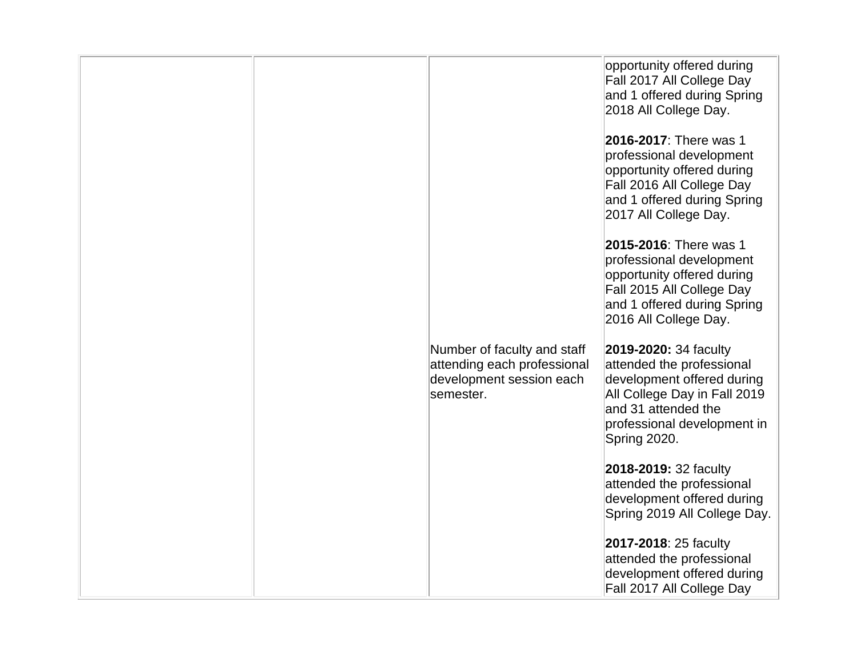|  |                                                                                                     | opportunity offered during<br>Fall 2017 All College Day<br>and 1 offered during Spring<br>2018 All College Day.<br>2016-2017: There was 1<br>professional development<br>opportunity offered during<br>Fall 2016 All College Day<br>and 1 offered during Spring<br>2017 All College Day. |
|--|-----------------------------------------------------------------------------------------------------|------------------------------------------------------------------------------------------------------------------------------------------------------------------------------------------------------------------------------------------------------------------------------------------|
|  |                                                                                                     | 2015-2016: There was 1<br>professional development<br>opportunity offered during<br>Fall 2015 All College Day<br>and 1 offered during Spring<br>2016 All College Day.                                                                                                                    |
|  | Number of faculty and staff<br>attending each professional<br>development session each<br>semester. | 2019-2020: 34 faculty<br>attended the professional<br>development offered during<br>All College Day in Fall 2019<br>and 31 attended the<br>professional development in<br>Spring 2020.                                                                                                   |
|  |                                                                                                     | 2018-2019: 32 faculty<br>attended the professional<br>development offered during<br>Spring 2019 All College Day.                                                                                                                                                                         |
|  |                                                                                                     | 2017-2018: 25 faculty<br>attended the professional<br>development offered during<br>Fall 2017 All College Day                                                                                                                                                                            |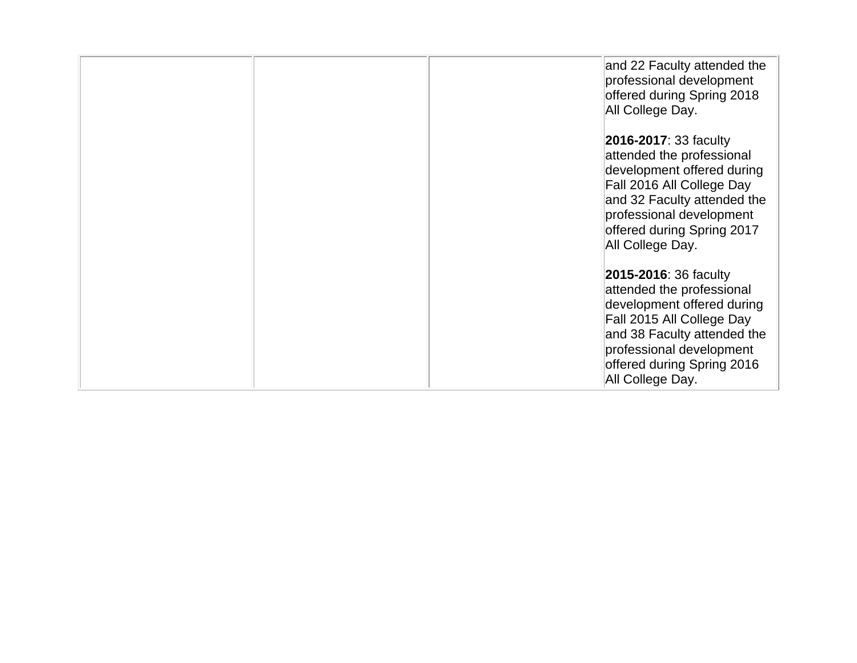|  | and 22 Faculty attended the<br>professional development<br>offered during Spring 2018<br>All College Day.                                                                                                                         |
|--|-----------------------------------------------------------------------------------------------------------------------------------------------------------------------------------------------------------------------------------|
|  | <b>2016-2017: 33 faculty</b><br>attended the professional<br>development offered during<br>Fall 2016 All College Day<br>and 32 Faculty attended the<br>professional development<br>offered during Spring 2017<br>All College Day. |
|  | <b>2015-2016: 36 faculty</b><br>attended the professional<br>development offered during<br>Fall 2015 All College Day<br>and 38 Faculty attended the<br>professional development<br>offered during Spring 2016<br>All College Day. |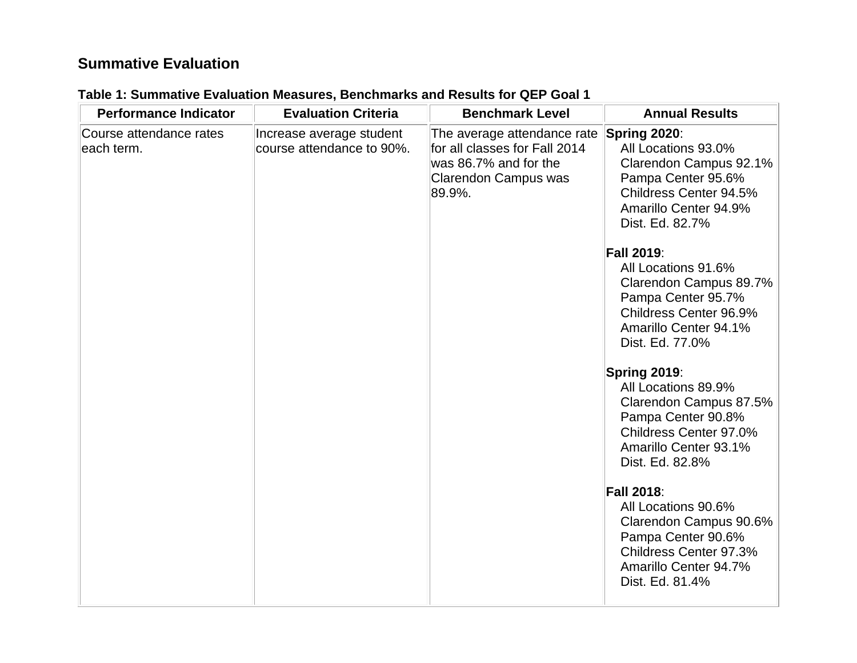### **Summative Evaluation**

| <b>Performance Indicator</b>          | <b>Evaluation Criteria</b>                            | <b>Benchmark Level</b>                                                                                                         | <b>Annual Results</b>                                                                                                                                          |
|---------------------------------------|-------------------------------------------------------|--------------------------------------------------------------------------------------------------------------------------------|----------------------------------------------------------------------------------------------------------------------------------------------------------------|
| Course attendance rates<br>each term. | Increase average student<br>course attendance to 90%. | The average attendance rate<br>for all classes for Fall 2014<br>was 86.7% and for the<br><b>Clarendon Campus was</b><br>89.9%. | Spring 2020:<br>All Locations 93.0%<br>Clarendon Campus 92.1%<br>Pampa Center 95.6%<br>Childress Center 94.5%<br>Amarillo Center 94.9%<br>Dist. Ed. 82.7%      |
|                                       |                                                       |                                                                                                                                | <b>Fall 2019:</b><br>All Locations 91.6%<br>Clarendon Campus 89.7%<br>Pampa Center 95.7%<br>Childress Center 96.9%<br>Amarillo Center 94.1%<br>Dist. Ed. 77.0% |
|                                       |                                                       |                                                                                                                                | Spring 2019:<br>All Locations 89.9%<br>Clarendon Campus 87.5%<br>Pampa Center 90.8%<br>Childress Center 97.0%<br>Amarillo Center 93.1%<br>Dist. Ed. 82.8%      |
|                                       |                                                       |                                                                                                                                | <b>Fall 2018:</b><br>All Locations 90.6%<br>Clarendon Campus 90.6%<br>Pampa Center 90.6%<br>Childress Center 97.3%<br>Amarillo Center 94.7%<br>Dist. Ed. 81.4% |

# **Table 1: Summative Evaluation Measures, Benchmarks and Results for QEP Goal 1**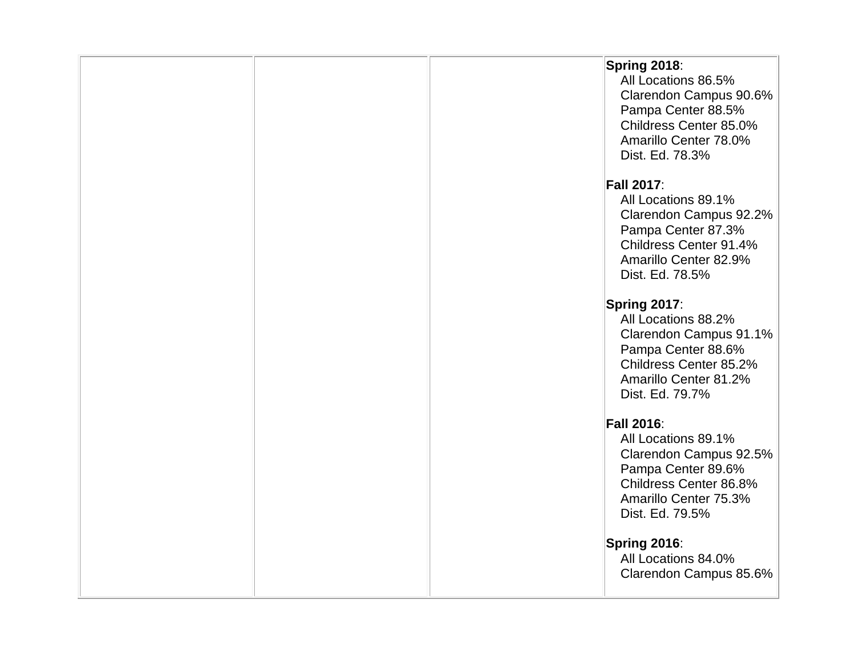|  | Spring 2018:<br>All Locations 86.5%<br>Clarendon Campus 90.6%<br>Pampa Center 88.5%<br>Childress Center 85.0%<br>Amarillo Center 78.0%<br>Dist. Ed. 78.3%      |
|--|----------------------------------------------------------------------------------------------------------------------------------------------------------------|
|  | <b>Fall 2017:</b><br>All Locations 89.1%<br>Clarendon Campus 92.2%<br>Pampa Center 87.3%<br>Childress Center 91.4%<br>Amarillo Center 82.9%<br>Dist. Ed. 78.5% |
|  | Spring 2017:<br>All Locations 88.2%<br>Clarendon Campus 91.1%<br>Pampa Center 88.6%<br>Childress Center 85.2%<br>Amarillo Center 81.2%<br>Dist. Ed. 79.7%      |
|  | <b>Fall 2016:</b><br>All Locations 89.1%<br>Clarendon Campus 92.5%<br>Pampa Center 89.6%<br>Childress Center 86.8%<br>Amarillo Center 75.3%<br>Dist. Ed. 79.5% |
|  | Spring 2016:<br>All Locations 84.0%<br>Clarendon Campus 85.6%                                                                                                  |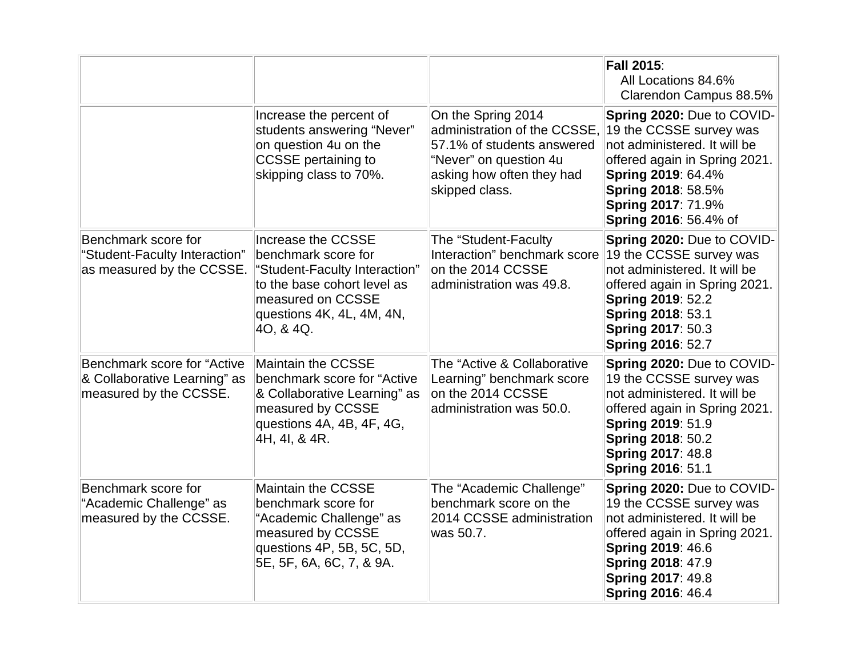|                                                                                       |                                                                                                                                                                          |                                                                                                                                                           | <b>Fall 2015:</b><br>All Locations 84.6%<br>Clarendon Campus 88.5%                                                                                                                                                                     |
|---------------------------------------------------------------------------------------|--------------------------------------------------------------------------------------------------------------------------------------------------------------------------|-----------------------------------------------------------------------------------------------------------------------------------------------------------|----------------------------------------------------------------------------------------------------------------------------------------------------------------------------------------------------------------------------------------|
|                                                                                       | Increase the percent of<br>students answering "Never"<br>on question 4u on the<br><b>CCSSE</b> pertaining to<br>skipping class to 70%.                                   | On the Spring 2014<br>administration of the CCSSE,<br>57.1% of students answered<br>"Never" on question 4u<br>asking how often they had<br>skipped class. | Spring 2020: Due to COVID-<br>19 the CCSSE survey was<br>not administered. It will be<br>offered again in Spring 2021.<br>Spring 2019: 64.4%<br><b>Spring 2018: 58.5%</b><br><b>Spring 2017: 71.9%</b><br><b>Spring 2016: 56.4% of</b> |
| Benchmark score for<br>"Student-Faculty Interaction"<br>as measured by the CCSSE.     | Increase the CCSSE<br>benchmark score for<br>'Student-Faculty Interaction"<br>to the base cohort level as<br>measured on CCSSE<br>questions 4K, 4L, 4M, 4N,<br>40, & 4Q. | The "Student-Faculty<br>Interaction" benchmark score<br>on the 2014 CCSSE<br>administration was 49.8.                                                     | Spring 2020: Due to COVID-<br>19 the CCSSE survey was<br>not administered. It will be<br>offered again in Spring 2021.<br><b>Spring 2019: 52.2</b><br><b>Spring 2018: 53.1</b><br><b>Spring 2017: 50.3</b><br><b>Spring 2016: 52.7</b> |
| Benchmark score for "Active<br>& Collaborative Learning" as<br>measured by the CCSSE. | Maintain the CCSSE<br>benchmark score for "Active<br>& Collaborative Learning" as<br>measured by CCSSE<br>questions 4A, 4B, 4F, 4G,<br>4H, 4I, & 4R.                     | The "Active & Collaborative<br>Learning" benchmark score<br>on the 2014 CCSSE<br>administration was 50.0.                                                 | Spring 2020: Due to COVID-<br>19 the CCSSE survey was<br>not administered. It will be<br>offered again in Spring 2021.<br><b>Spring 2019: 51.9</b><br><b>Spring 2018: 50.2</b><br><b>Spring 2017: 48.8</b><br><b>Spring 2016: 51.1</b> |
| Benchmark score for<br>"Academic Challenge" as<br>measured by the CCSSE.              | <b>Maintain the CCSSE</b><br>benchmark score for<br>"Academic Challenge" as<br>measured by CCSSE<br>questions 4P, 5B, 5C, 5D,<br>5E, 5F, 6A, 6C, 7, & 9A.                | The "Academic Challenge"<br>benchmark score on the<br>2014 CCSSE administration<br>was 50.7.                                                              | Spring 2020: Due to COVID-<br>19 the CCSSE survey was<br>not administered. It will be<br>offered again in Spring 2021.<br><b>Spring 2019: 46.6</b><br><b>Spring 2018: 47.9</b><br><b>Spring 2017: 49.8</b><br><b>Spring 2016: 46.4</b> |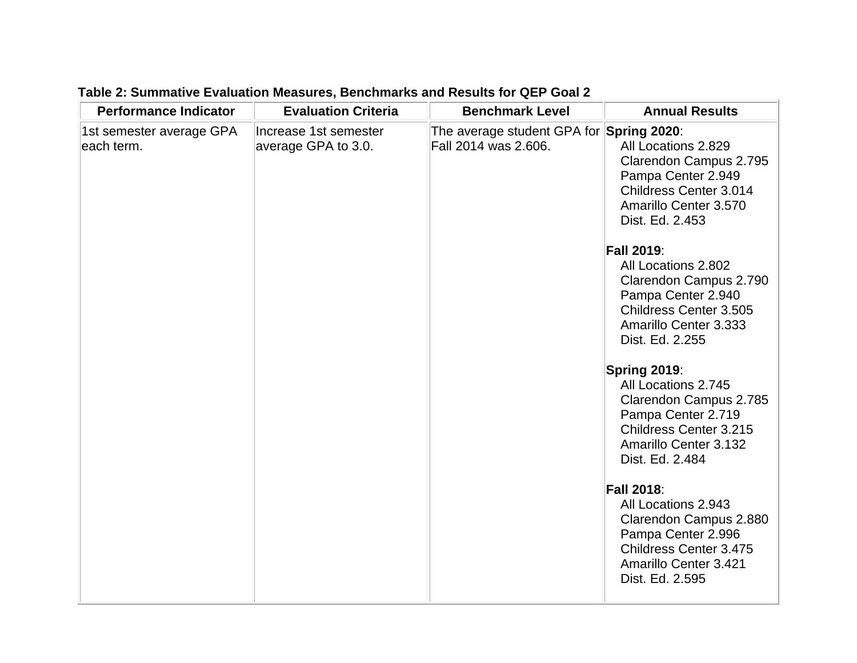| <b>Performance Indicator</b>           | <b>Evaluation Criteria</b>                   | <b>Benchmark Level</b>                                           | <b>Annual Results</b>                                                                                                                                            |
|----------------------------------------|----------------------------------------------|------------------------------------------------------------------|------------------------------------------------------------------------------------------------------------------------------------------------------------------|
| 1st semester average GPA<br>each term. | Increase 1st semester<br>average GPA to 3.0. | The average student GPA for Spring 2020:<br>Fall 2014 was 2.606. | All Locations 2.829<br>Clarendon Campus 2.795<br>Pampa Center 2.949<br>Childress Center 3.014<br>Amarillo Center 3.570<br>Dist. Ed. 2.453                        |
|                                        |                                              |                                                                  | <b>Fall 2019:</b><br>All Locations 2.802<br>Clarendon Campus 2.790<br>Pampa Center 2.940<br>Childress Center 3.505<br>Amarillo Center 3.333<br>Dist. Ed. 2.255   |
|                                        |                                              |                                                                  | Spring 2019:<br>All Locations 2.745<br>Clarendon Campus 2.785<br>Pampa Center 2.719<br>Childress Center 3.215<br><b>Amarillo Center 3.132</b><br>Dist. Ed. 2.484 |
|                                        |                                              |                                                                  | <b>Fall 2018:</b><br>All Locations 2.943<br>Clarendon Campus 2.880<br>Pampa Center 2.996<br>Childress Center 3.475<br>Amarillo Center 3.421<br>Dist. Ed. 2.595   |

### **Table 2: Summative Evaluation Measures, Benchmarks and Results for QEP Goal 2**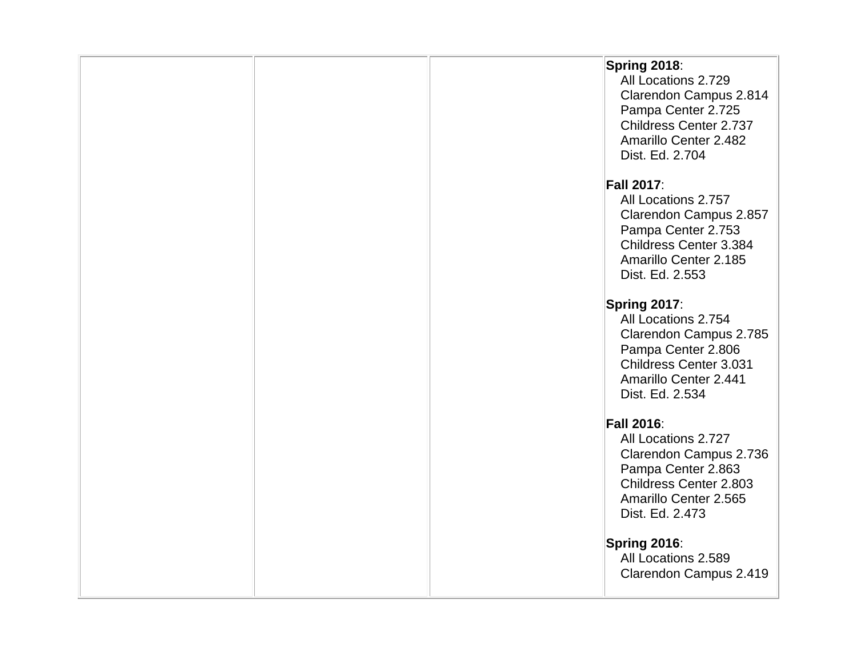|  | Spring 2018:<br>All Locations 2.729<br>Clarendon Campus 2.814<br>Pampa Center 2.725<br>Childress Center 2.737<br>Amarillo Center 2.482<br>Dist. Ed. 2.704      |
|--|----------------------------------------------------------------------------------------------------------------------------------------------------------------|
|  | <b>Fall 2017:</b><br>All Locations 2.757<br>Clarendon Campus 2.857<br>Pampa Center 2.753<br>Childress Center 3.384<br>Amarillo Center 2.185<br>Dist. Ed. 2.553 |
|  | Spring 2017:<br>All Locations 2.754<br>Clarendon Campus 2.785<br>Pampa Center 2.806<br>Childress Center 3.031<br>Amarillo Center 2.441<br>Dist. Ed. 2.534      |
|  | <b>Fall 2016:</b><br>All Locations 2.727<br>Clarendon Campus 2.736<br>Pampa Center 2.863<br>Childress Center 2.803<br>Amarillo Center 2.565<br>Dist. Ed. 2.473 |
|  | Spring 2016:<br>All Locations 2.589<br>Clarendon Campus 2.419                                                                                                  |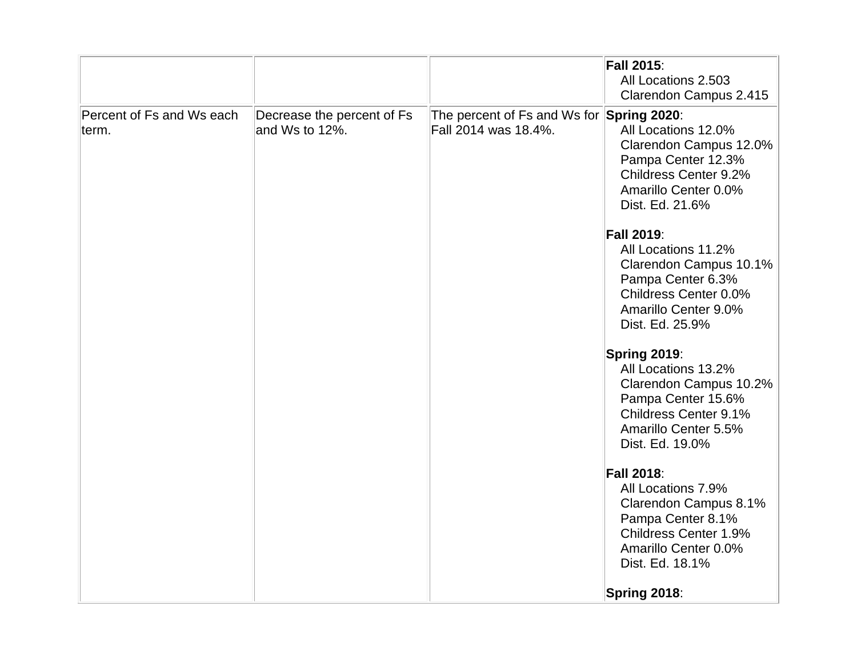|                                    |                                              |                                                                   | <b>Fall 2015:</b><br>All Locations 2.503<br>Clarendon Campus 2.415                                                                                          |
|------------------------------------|----------------------------------------------|-------------------------------------------------------------------|-------------------------------------------------------------------------------------------------------------------------------------------------------------|
| Percent of Fs and Ws each<br>term. | Decrease the percent of Fs<br>and Ws to 12%. | The percent of Fs and Ws for Spring 2020:<br>Fall 2014 was 18.4%. | All Locations 12.0%<br>Clarendon Campus 12.0%<br>Pampa Center 12.3%<br>Childress Center 9.2%<br>Amarillo Center 0.0%<br>Dist. Ed. 21.6%                     |
|                                    |                                              |                                                                   | <b>Fall 2019:</b><br>All Locations 11.2%<br>Clarendon Campus 10.1%<br>Pampa Center 6.3%<br>Childress Center 0.0%<br>Amarillo Center 9.0%<br>Dist. Ed. 25.9% |
|                                    |                                              |                                                                   | Spring 2019:<br>All Locations 13.2%<br>Clarendon Campus 10.2%<br>Pampa Center 15.6%<br>Childress Center 9.1%<br>Amarillo Center 5.5%<br>Dist. Ed. 19.0%     |
|                                    |                                              |                                                                   | <b>Fall 2018:</b><br>All Locations 7.9%<br>Clarendon Campus 8.1%<br>Pampa Center 8.1%<br>Childress Center 1.9%<br>Amarillo Center 0.0%<br>Dist. Ed. 18.1%   |
|                                    |                                              |                                                                   | Spring 2018:                                                                                                                                                |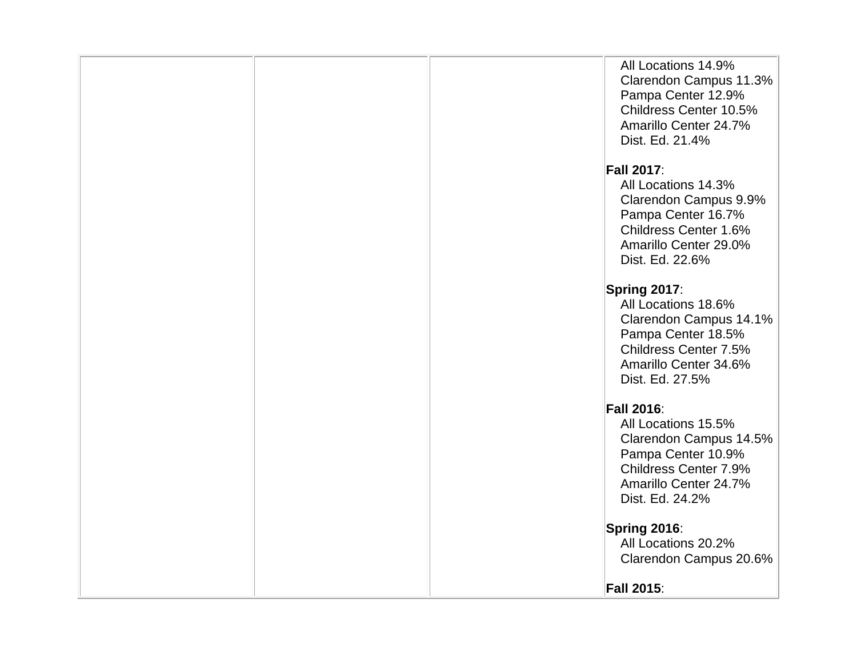|  | All Locations 14.9%<br>Clarendon Campus 11.3%<br>Pampa Center 12.9%<br>Childress Center 10.5%<br>Amarillo Center 24.7%<br>Dist. Ed. 21.4% |
|--|-------------------------------------------------------------------------------------------------------------------------------------------|
|  |                                                                                                                                           |
|  | <b>Fall 2017:</b>                                                                                                                         |
|  | All Locations 14.3%<br>Clarendon Campus 9.9%<br>Pampa Center 16.7%<br>Childress Center 1.6%<br>Amarillo Center 29.0%                      |
|  | Dist. Ed. 22.6%                                                                                                                           |
|  |                                                                                                                                           |
|  |                                                                                                                                           |
|  | Spring 2017:                                                                                                                              |
|  | All Locations 18.6%                                                                                                                       |
|  | Clarendon Campus 14.1%                                                                                                                    |
|  | Pampa Center 18.5%                                                                                                                        |
|  |                                                                                                                                           |
|  | Childress Center 7.5%                                                                                                                     |
|  | Amarillo Center 34.6%                                                                                                                     |
|  | Dist. Ed. 27.5%                                                                                                                           |
|  |                                                                                                                                           |
|  |                                                                                                                                           |
|  | <b>Fall 2016:</b>                                                                                                                         |
|  | All Locations 15.5%                                                                                                                       |
|  | Clarendon Campus 14.5%                                                                                                                    |
|  | Pampa Center 10.9%                                                                                                                        |
|  | Childress Center 7.9%                                                                                                                     |
|  | Amarillo Center 24.7%                                                                                                                     |
|  |                                                                                                                                           |
|  | Dist. Ed. 24.2%                                                                                                                           |
|  |                                                                                                                                           |
|  | Spring 2016:                                                                                                                              |
|  | All Locations 20.2%                                                                                                                       |
|  | Clarendon Campus 20.6%                                                                                                                    |
|  |                                                                                                                                           |
|  | <b>Fall 2015:</b>                                                                                                                         |
|  |                                                                                                                                           |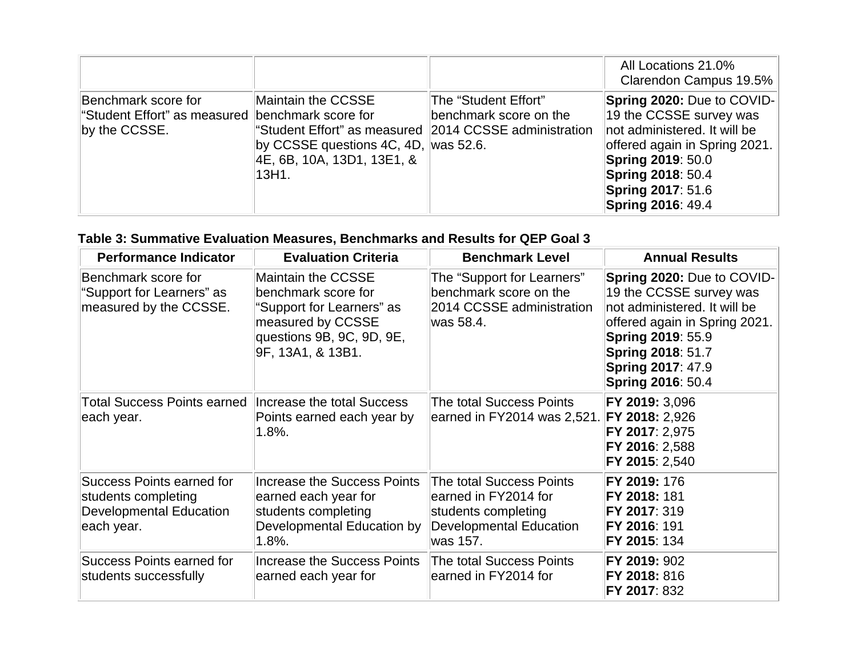|                                                                                            |                                                                                                                                                             |                                                | All Locations 21.0%<br>Clarendon Campus 19.5%                                                                                                                                                                                          |
|--------------------------------------------------------------------------------------------|-------------------------------------------------------------------------------------------------------------------------------------------------------------|------------------------------------------------|----------------------------------------------------------------------------------------------------------------------------------------------------------------------------------------------------------------------------------------|
| Benchmark score for<br>"Student Effort" as measured   benchmark score for<br>by the CCSSE. | Maintain the CCSSE<br>"Student Effort" as measured 2014 CCSSE administration<br>by CCSSE questions 4C, 4D, was 52.6.<br>4E, 6B, 10A, 13D1, 13E1, &<br>13H1. | The "Student Effort"<br>benchmark score on the | Spring 2020: Due to COVID-<br>19 the CCSSE survey was<br>not administered. It will be<br>offered again in Spring 2021.<br><b>Spring 2019: 50.0</b><br><b>Spring 2018: 50.4</b><br><b>Spring 2017: 51.6</b><br><b>Spring 2016: 49.4</b> |

# **Table 3: Summative Evaluation Measures, Benchmarks and Results for QEP Goal 3**

| <b>Performance Indicator</b>                                                                     | <b>Evaluation Criteria</b>                                                                                                                    | <b>Benchmark Level</b>                                                                                                | <b>Annual Results</b>                                                                                                                                                                                                                         |
|--------------------------------------------------------------------------------------------------|-----------------------------------------------------------------------------------------------------------------------------------------------|-----------------------------------------------------------------------------------------------------------------------|-----------------------------------------------------------------------------------------------------------------------------------------------------------------------------------------------------------------------------------------------|
| Benchmark score for<br>"Support for Learners" as<br>measured by the CCSSE.                       | Maintain the CCSSE<br>benchmark score for<br>"Support for Learners" as<br>measured by CCSSE<br>questions 9B, 9C, 9D, 9E,<br>9F, 13A1, & 13B1. | The "Support for Learners"<br>benchmark score on the<br>2014 CCSSE administration<br>was 58.4.                        | <b>Spring 2020: Due to COVID-</b><br>19 the CCSSE survey was<br>not administered. It will be<br>offered again in Spring 2021.<br><b>Spring 2019: 55.9</b><br><b>Spring 2018: 51.7</b><br><b>Spring 2017: 47.9</b><br><b>Spring 2016: 50.4</b> |
| Total Success Points earned Increase the total Success<br>each year.                             | Points earned each year by<br>$1.8%$ .                                                                                                        | The total Success Points<br>earned in FY2014 was 2,521.                                                               | FY 2019: 3,096<br>FY 2018: 2,926<br>FY 2017: 2,975<br>FY 2016: 2,588<br>FY 2015: 2,540                                                                                                                                                        |
| Success Points earned for<br>students completing<br><b>Developmental Education</b><br>each year. | Increase the Success Points<br>earned each year for<br>students completing<br>Developmental Education by<br>$1.8\%$ .                         | The total Success Points<br>earned in FY2014 for<br>students completing<br><b>Developmental Education</b><br>was 157. | FY 2019: 176<br>FY 2018: 181<br>FY 2017: 319<br>FY 2016: 191<br><b>FY 2015: 134</b>                                                                                                                                                           |
| Success Points earned for<br>students successfully                                               | <b>Increase the Success Points</b><br>earned each year for                                                                                    | The total Success Points<br>earned in FY2014 for                                                                      | FY 2019: 902<br>FY 2018: 816<br>FY 2017: 832                                                                                                                                                                                                  |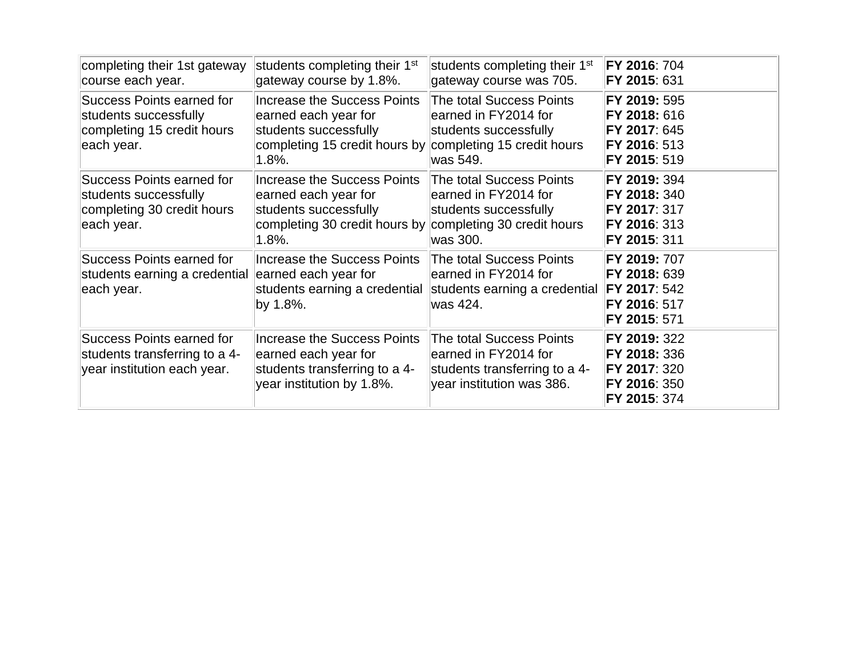| completing their 1st gateway<br>course each year.                                              | students completing their 1 <sup>st</sup><br>gateway course by 1.8%.                                                                                         | students completing their 1 <sup>st</sup><br>gateway course was 705.                                                       | <b>FY 2016: 704</b><br>FY 2015: 631                                                 |
|------------------------------------------------------------------------------------------------|--------------------------------------------------------------------------------------------------------------------------------------------------------------|----------------------------------------------------------------------------------------------------------------------------|-------------------------------------------------------------------------------------|
| Success Points earned for<br>students successfully<br>completing 15 credit hours<br>each year. | <b>Increase the Success Points</b><br>earned each year for<br>students successfully<br>completing 15 credit hours by completing 15 credit hours<br>$1.8\%$ . | The total Success Points<br>earned in FY2014 for<br>students successfully<br>was 549.                                      | FY 2019: 595<br>FY 2018: 616<br>FY 2017: 645<br>FY 2016: 513<br>FY 2015: 519        |
| Success Points earned for<br>students successfully<br>completing 30 credit hours<br>each year. | <b>Increase the Success Points</b><br>earned each year for<br>students successfully<br>completing 30 credit hours by<br>$1.8\%$ .                            | <b>The total Success Points</b><br>earned in FY2014 for<br>students successfully<br>completing 30 credit hours<br>was 300. | FY 2019: 394<br>FY 2018: 340<br>FY 2017: 317<br>FY 2016: 313<br>FY 2015: 311        |
| Success Points earned for<br>students earning a credential<br>each year.                       | <b>Increase the Success Points</b><br>earned each year for<br>students earning a credential<br>by 1.8%.                                                      | <b>The total Success Points</b><br>earned in FY2014 for<br>students earning a credential FY 2017: 542<br>was 424.          | FY 2019: 707<br>FY 2018: 639<br>FY 2016: 517<br>FY 2015: 571                        |
| Success Points earned for<br>students transferring to a 4-<br>year institution each year.      | <b>Increase the Success Points</b><br>earned each year for<br>students transferring to a 4-<br>year institution by 1.8%.                                     | <b>The total Success Points</b><br>earned in FY2014 for<br>students transferring to a 4-<br>year institution was 386.      | FY 2019: 322<br>FY 2018: 336<br>FY 2017: 320<br><b>FY 2016: 350</b><br>FY 2015: 374 |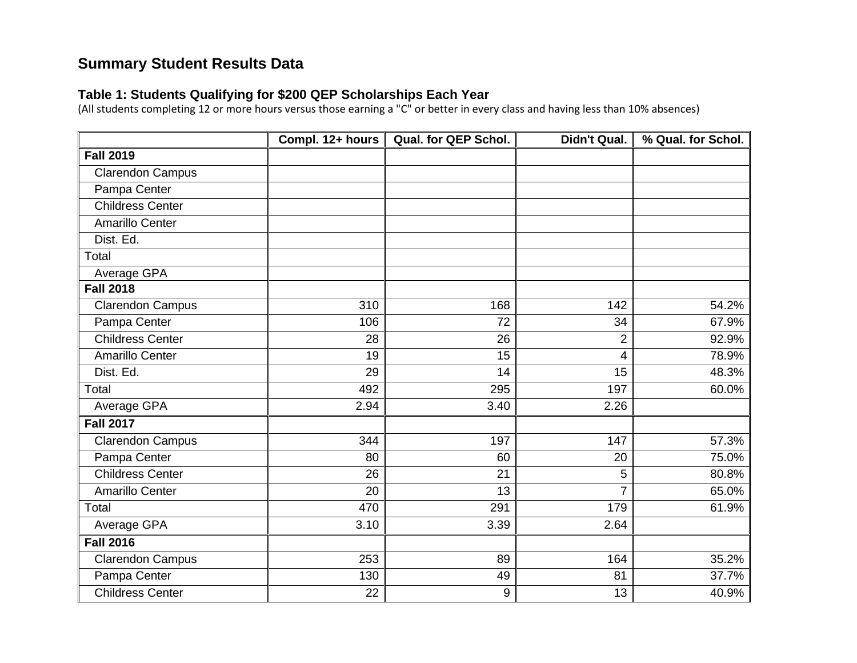# **Summary Student Results Data**

#### **Table 1: Students Qualifying for \$200 QEP Scholarships Each Year**

(All students completing 12 or more hours versus those earning a "C" or better in every class and having less than 10% absences)

|                         | Compl. 12+ hours | Qual. for QEP Schol. | Didn't Qual.   | % Qual. for Schol. |
|-------------------------|------------------|----------------------|----------------|--------------------|
| <b>Fall 2019</b>        |                  |                      |                |                    |
| <b>Clarendon Campus</b> |                  |                      |                |                    |
| Pampa Center            |                  |                      |                |                    |
| <b>Childress Center</b> |                  |                      |                |                    |
| <b>Amarillo Center</b>  |                  |                      |                |                    |
| Dist. Ed.               |                  |                      |                |                    |
| Total                   |                  |                      |                |                    |
| Average GPA             |                  |                      |                |                    |
| <b>Fall 2018</b>        |                  |                      |                |                    |
| <b>Clarendon Campus</b> | 310              | 168                  | 142            | 54.2%              |
| Pampa Center            | 106              | 72                   | 34             | 67.9%              |
| <b>Childress Center</b> | 28               | $\overline{26}$      | $\overline{2}$ | 92.9%              |
| <b>Amarillo Center</b>  | 19               | 15                   | $\overline{4}$ | 78.9%              |
| Dist. Ed.               | 29               | 14                   | 15             | 48.3%              |
| Total                   | 492              | 295                  | 197            | 60.0%              |
| Average GPA             | 2.94             | 3.40                 | 2.26           |                    |
| <b>Fall 2017</b>        |                  |                      |                |                    |
| <b>Clarendon Campus</b> | 344              | 197                  | 147            | 57.3%              |
| Pampa Center            | 80               | 60                   | 20             | 75.0%              |
| <b>Childress Center</b> | 26               | 21                   | 5              | 80.8%              |
| <b>Amarillo Center</b>  | 20               | 13                   | 7              | 65.0%              |
| <b>Total</b>            | 470              | 291                  | 179            | 61.9%              |
| Average GPA             | 3.10             | 3.39                 | 2.64           |                    |
| <b>Fall 2016</b>        |                  |                      |                |                    |
| <b>Clarendon Campus</b> | 253              | 89                   | 164            | 35.2%              |
| Pampa Center            | 130              | 49                   | 81             | 37.7%              |
| <b>Childress Center</b> | 22               | 9                    | 13             | 40.9%              |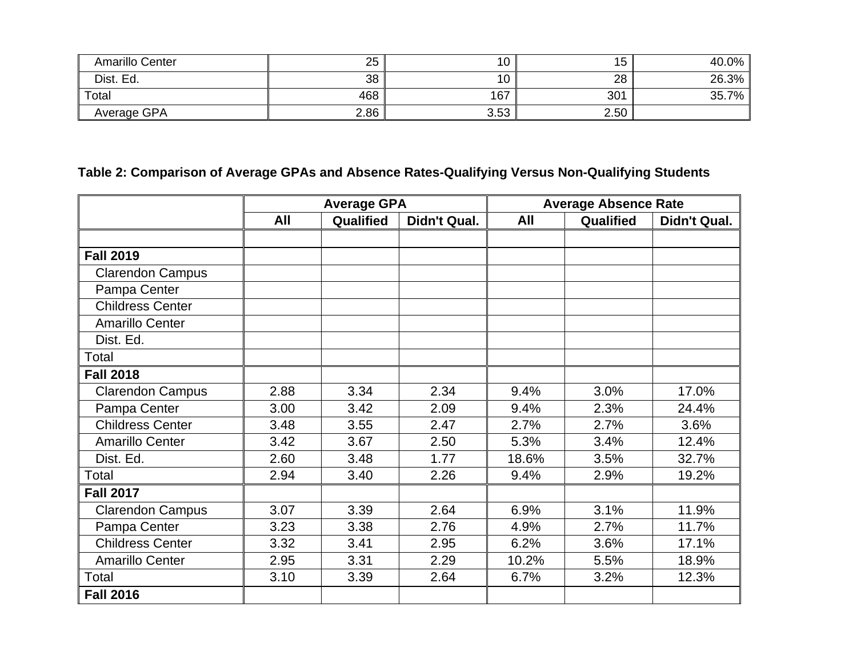| Amarillo Center | 25   | 10   | 5    | 40.0% |
|-----------------|------|------|------|-------|
| Dist. Ed.       | 38   | 10   | 28   | 26.3% |
| Total           | 468  | 167  | 301  | 35.7% |
| Average GPA     | 2.86 | 3.53 | 2.50 |       |

# **Table 2: Comparison of Average GPAs and Absence Rates-Qualifying Versus Non-Qualifying Students**

|                         | <b>Average GPA</b> |           |              | <b>Average Absence Rate</b> |           |              |
|-------------------------|--------------------|-----------|--------------|-----------------------------|-----------|--------------|
|                         | All                | Qualified | Didn't Qual. | All                         | Qualified | Didn't Qual. |
|                         |                    |           |              |                             |           |              |
| <b>Fall 2019</b>        |                    |           |              |                             |           |              |
| <b>Clarendon Campus</b> |                    |           |              |                             |           |              |
| Pampa Center            |                    |           |              |                             |           |              |
| <b>Childress Center</b> |                    |           |              |                             |           |              |
| Amarillo Center         |                    |           |              |                             |           |              |
| Dist. Ed.               |                    |           |              |                             |           |              |
| Total                   |                    |           |              |                             |           |              |
| <b>Fall 2018</b>        |                    |           |              |                             |           |              |
| <b>Clarendon Campus</b> | 2.88               | 3.34      | 2.34         | 9.4%                        | 3.0%      | 17.0%        |
| Pampa Center            | 3.00               | 3.42      | 2.09         | 9.4%                        | 2.3%      | 24.4%        |
| <b>Childress Center</b> | 3.48               | 3.55      | 2.47         | 2.7%                        | 2.7%      | 3.6%         |
| <b>Amarillo Center</b>  | 3.42               | 3.67      | 2.50         | 5.3%                        | 3.4%      | 12.4%        |
| Dist. Ed.               | 2.60               | 3.48      | 1.77         | 18.6%                       | 3.5%      | 32.7%        |
| Total                   | 2.94               | 3.40      | 2.26         | 9.4%                        | 2.9%      | 19.2%        |
| <b>Fall 2017</b>        |                    |           |              |                             |           |              |
| <b>Clarendon Campus</b> | 3.07               | 3.39      | 2.64         | 6.9%                        | 3.1%      | 11.9%        |
| Pampa Center            | 3.23               | 3.38      | 2.76         | 4.9%                        | 2.7%      | 11.7%        |
| <b>Childress Center</b> | 3.32               | 3.41      | 2.95         | 6.2%                        | 3.6%      | 17.1%        |
| <b>Amarillo Center</b>  | 2.95               | 3.31      | 2.29         | 10.2%                       | 5.5%      | 18.9%        |
| Total                   | 3.10               | 3.39      | 2.64         | 6.7%                        | 3.2%      | 12.3%        |
| <b>Fall 2016</b>        |                    |           |              |                             |           |              |